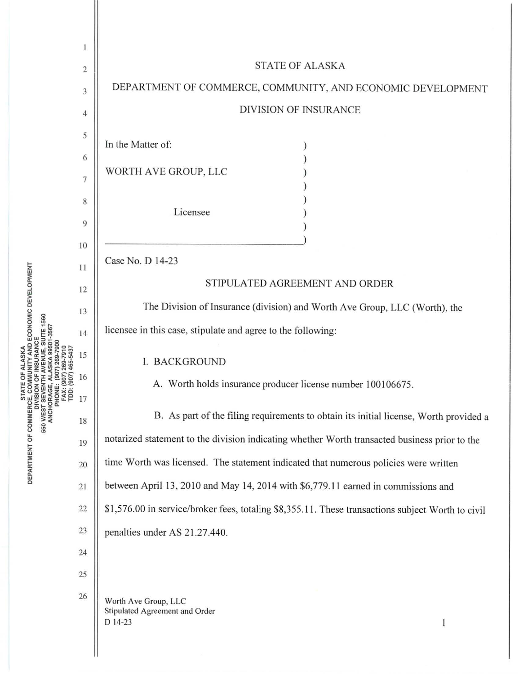

**STATE OF ALASKA<br>E, COMMUNITY AND ECONOMIC DEVELOPMENT DIVISION OF INSURANCE<br>ST SEVENTH AVENUE, SUITE 1560** 550 WEST SEVENTH **RTMENT OF** <sup>~</sup>**<sup>w</sup>** 0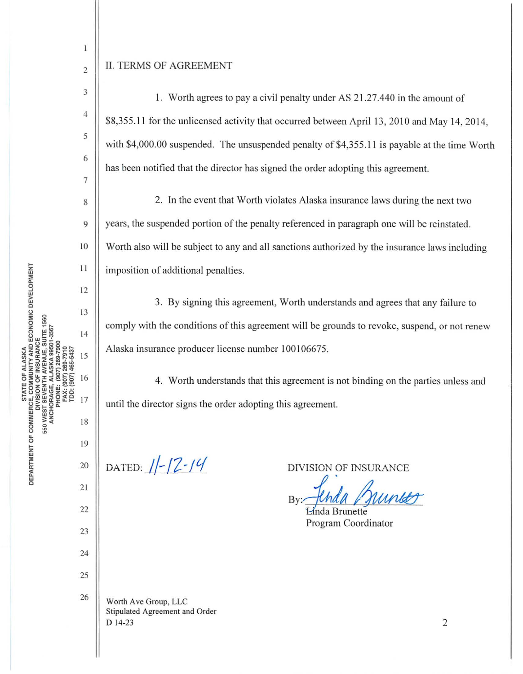## II. TERMS OF AGREEMENT

2

 $\,1$ 

3

4

5

6

7

8

9

10

 $11$ 

12

13

 $14$ 

15

16

17

19

18

20

21

22

23

24

25

26

1. Worth agrees to pay a civil penalty under AS 21.27.440 in the amount of \$8,355.1 1 for the unlicensed activity that occurred between April 13, 2010 and May 14, 2014, with \$4,000.00 suspended. The unsuspended penalty of \$4,355.11 is payable at the time Worth has been notified that the director has signed the order adopting this agreement.

2. In the event that Worth violates Alaska insurance laws during the next two years, the suspended portion of the penalty referenced in paragraph one will be reinstated. Worth also will be subject to any and all sanctions authorized by the insurance laws including imposition of additional penalties.

3. By signing this agreement, Worth understands and agrees that any failure to comply with the conditions of this agreement will be grounds to revoke, suspend, or not renew Alaska insurance producer license number 100106675.

4. Worth understands that this agreement is not binding on the parties unless and until the director signs the order adopting this agreement.

DATED:  $1/-/2$ -14

DIVISION OF INSURANCE

By: JUNAU V da Burnees

Program Coordinator

Worth Ave Group, LLC Stipulated Agreement and Order D 14-23

2